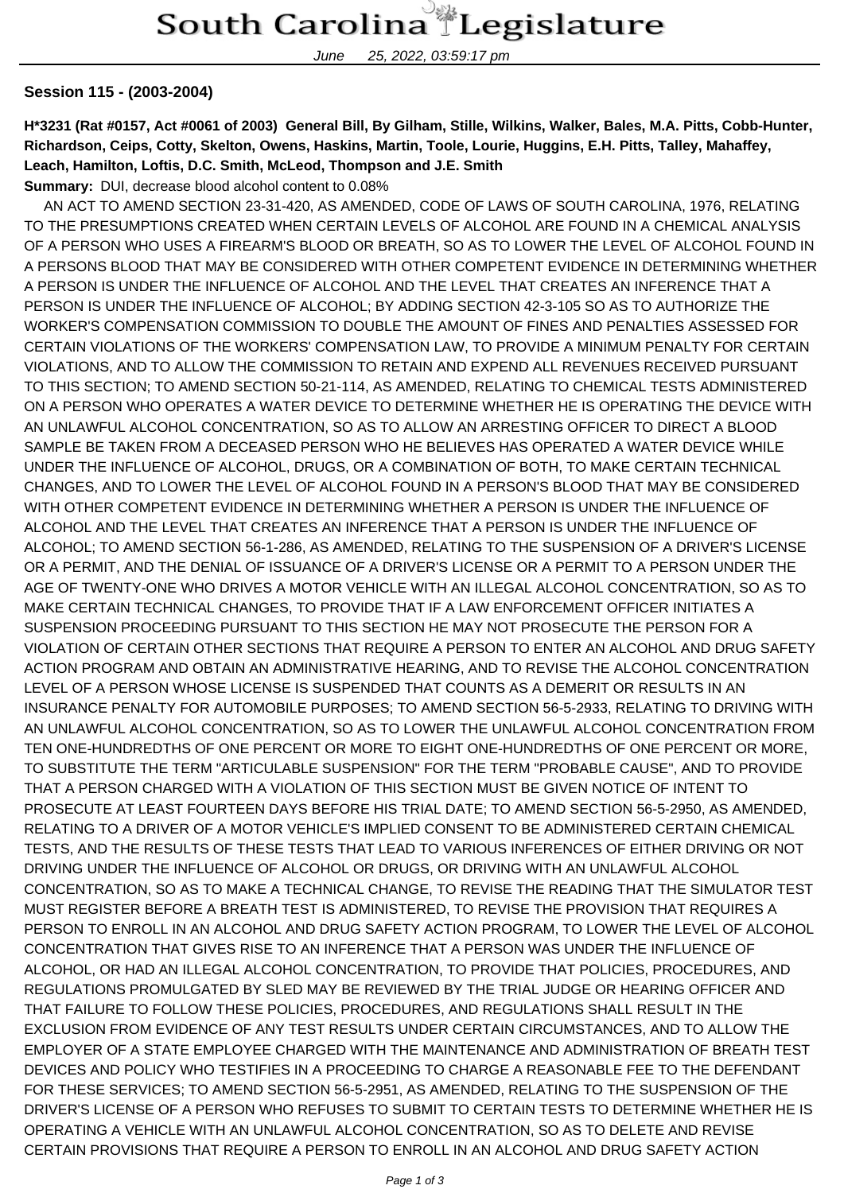June 25, 2022, 03:59:17 pm

## **Session 115 - (2003-2004)**

**H\*3231 (Rat #0157, Act #0061 of 2003) General Bill, By Gilham, Stille, Wilkins, Walker, Bales, M.A. Pitts, Cobb-Hunter, Richardson, Ceips, Cotty, Skelton, Owens, Haskins, Martin, Toole, Lourie, Huggins, E.H. Pitts, Talley, Mahaffey, Leach, Hamilton, Loftis, D.C. Smith, McLeod, Thompson and J.E. Smith Summary:** DUI, decrease blood alcohol content to 0.08%

 AN ACT TO AMEND SECTION 23-31-420, AS AMENDED, CODE OF LAWS OF SOUTH CAROLINA, 1976, RELATING TO THE PRESUMPTIONS CREATED WHEN CERTAIN LEVELS OF ALCOHOL ARE FOUND IN A CHEMICAL ANALYSIS OF A PERSON WHO USES A FIREARM'S BLOOD OR BREATH, SO AS TO LOWER THE LEVEL OF ALCOHOL FOUND IN A PERSONS BLOOD THAT MAY BE CONSIDERED WITH OTHER COMPETENT EVIDENCE IN DETERMINING WHETHER A PERSON IS UNDER THE INFLUENCE OF ALCOHOL AND THE LEVEL THAT CREATES AN INFERENCE THAT A PERSON IS UNDER THE INFLUENCE OF ALCOHOL; BY ADDING SECTION 42-3-105 SO AS TO AUTHORIZE THE WORKER'S COMPENSATION COMMISSION TO DOUBLE THE AMOUNT OF FINES AND PENALTIES ASSESSED FOR CERTAIN VIOLATIONS OF THE WORKERS' COMPENSATION LAW, TO PROVIDE A MINIMUM PENALTY FOR CERTAIN VIOLATIONS, AND TO ALLOW THE COMMISSION TO RETAIN AND EXPEND ALL REVENUES RECEIVED PURSUANT TO THIS SECTION; TO AMEND SECTION 50-21-114, AS AMENDED, RELATING TO CHEMICAL TESTS ADMINISTERED ON A PERSON WHO OPERATES A WATER DEVICE TO DETERMINE WHETHER HE IS OPERATING THE DEVICE WITH AN UNLAWFUL ALCOHOL CONCENTRATION, SO AS TO ALLOW AN ARRESTING OFFICER TO DIRECT A BLOOD SAMPLE BE TAKEN FROM A DECEASED PERSON WHO HE BELIEVES HAS OPERATED A WATER DEVICE WHILE UNDER THE INFLUENCE OF ALCOHOL, DRUGS, OR A COMBINATION OF BOTH, TO MAKE CERTAIN TECHNICAL CHANGES, AND TO LOWER THE LEVEL OF ALCOHOL FOUND IN A PERSON'S BLOOD THAT MAY BE CONSIDERED WITH OTHER COMPETENT EVIDENCE IN DETERMINING WHETHER A PERSON IS UNDER THE INFLUENCE OF ALCOHOL AND THE LEVEL THAT CREATES AN INFERENCE THAT A PERSON IS UNDER THE INFLUENCE OF ALCOHOL; TO AMEND SECTION 56-1-286, AS AMENDED, RELATING TO THE SUSPENSION OF A DRIVER'S LICENSE OR A PERMIT, AND THE DENIAL OF ISSUANCE OF A DRIVER'S LICENSE OR A PERMIT TO A PERSON UNDER THE AGE OF TWENTY-ONE WHO DRIVES A MOTOR VEHICLE WITH AN ILLEGAL ALCOHOL CONCENTRATION, SO AS TO MAKE CERTAIN TECHNICAL CHANGES, TO PROVIDE THAT IF A LAW ENFORCEMENT OFFICER INITIATES A SUSPENSION PROCEEDING PURSUANT TO THIS SECTION HE MAY NOT PROSECUTE THE PERSON FOR A VIOLATION OF CERTAIN OTHER SECTIONS THAT REQUIRE A PERSON TO ENTER AN ALCOHOL AND DRUG SAFETY ACTION PROGRAM AND OBTAIN AN ADMINISTRATIVE HEARING, AND TO REVISE THE ALCOHOL CONCENTRATION LEVEL OF A PERSON WHOSE LICENSE IS SUSPENDED THAT COUNTS AS A DEMERIT OR RESULTS IN AN INSURANCE PENALTY FOR AUTOMOBILE PURPOSES; TO AMEND SECTION 56-5-2933, RELATING TO DRIVING WITH AN UNLAWFUL ALCOHOL CONCENTRATION, SO AS TO LOWER THE UNLAWFUL ALCOHOL CONCENTRATION FROM TEN ONE-HUNDREDTHS OF ONE PERCENT OR MORE TO EIGHT ONE-HUNDREDTHS OF ONE PERCENT OR MORE, TO SUBSTITUTE THE TERM "ARTICULABLE SUSPENSION" FOR THE TERM "PROBABLE CAUSE", AND TO PROVIDE THAT A PERSON CHARGED WITH A VIOLATION OF THIS SECTION MUST BE GIVEN NOTICE OF INTENT TO PROSECUTE AT LEAST FOURTEEN DAYS BEFORE HIS TRIAL DATE; TO AMEND SECTION 56-5-2950, AS AMENDED, RELATING TO A DRIVER OF A MOTOR VEHICLE'S IMPLIED CONSENT TO BE ADMINISTERED CERTAIN CHEMICAL TESTS, AND THE RESULTS OF THESE TESTS THAT LEAD TO VARIOUS INFERENCES OF EITHER DRIVING OR NOT DRIVING UNDER THE INFLUENCE OF ALCOHOL OR DRUGS, OR DRIVING WITH AN UNLAWFUL ALCOHOL CONCENTRATION, SO AS TO MAKE A TECHNICAL CHANGE, TO REVISE THE READING THAT THE SIMULATOR TEST MUST REGISTER BEFORE A BREATH TEST IS ADMINISTERED, TO REVISE THE PROVISION THAT REQUIRES A PERSON TO ENROLL IN AN ALCOHOL AND DRUG SAFETY ACTION PROGRAM, TO LOWER THE LEVEL OF ALCOHOL CONCENTRATION THAT GIVES RISE TO AN INFERENCE THAT A PERSON WAS UNDER THE INFLUENCE OF ALCOHOL, OR HAD AN ILLEGAL ALCOHOL CONCENTRATION, TO PROVIDE THAT POLICIES, PROCEDURES, AND REGULATIONS PROMULGATED BY SLED MAY BE REVIEWED BY THE TRIAL JUDGE OR HEARING OFFICER AND THAT FAILURE TO FOLLOW THESE POLICIES, PROCEDURES, AND REGULATIONS SHALL RESULT IN THE EXCLUSION FROM EVIDENCE OF ANY TEST RESULTS UNDER CERTAIN CIRCUMSTANCES, AND TO ALLOW THE EMPLOYER OF A STATE EMPLOYEE CHARGED WITH THE MAINTENANCE AND ADMINISTRATION OF BREATH TEST DEVICES AND POLICY WHO TESTIFIES IN A PROCEEDING TO CHARGE A REASONABLE FEE TO THE DEFENDANT FOR THESE SERVICES; TO AMEND SECTION 56-5-2951, AS AMENDED, RELATING TO THE SUSPENSION OF THE DRIVER'S LICENSE OF A PERSON WHO REFUSES TO SUBMIT TO CERTAIN TESTS TO DETERMINE WHETHER HE IS OPERATING A VEHICLE WITH AN UNLAWFUL ALCOHOL CONCENTRATION, SO AS TO DELETE AND REVISE CERTAIN PROVISIONS THAT REQUIRE A PERSON TO ENROLL IN AN ALCOHOL AND DRUG SAFETY ACTION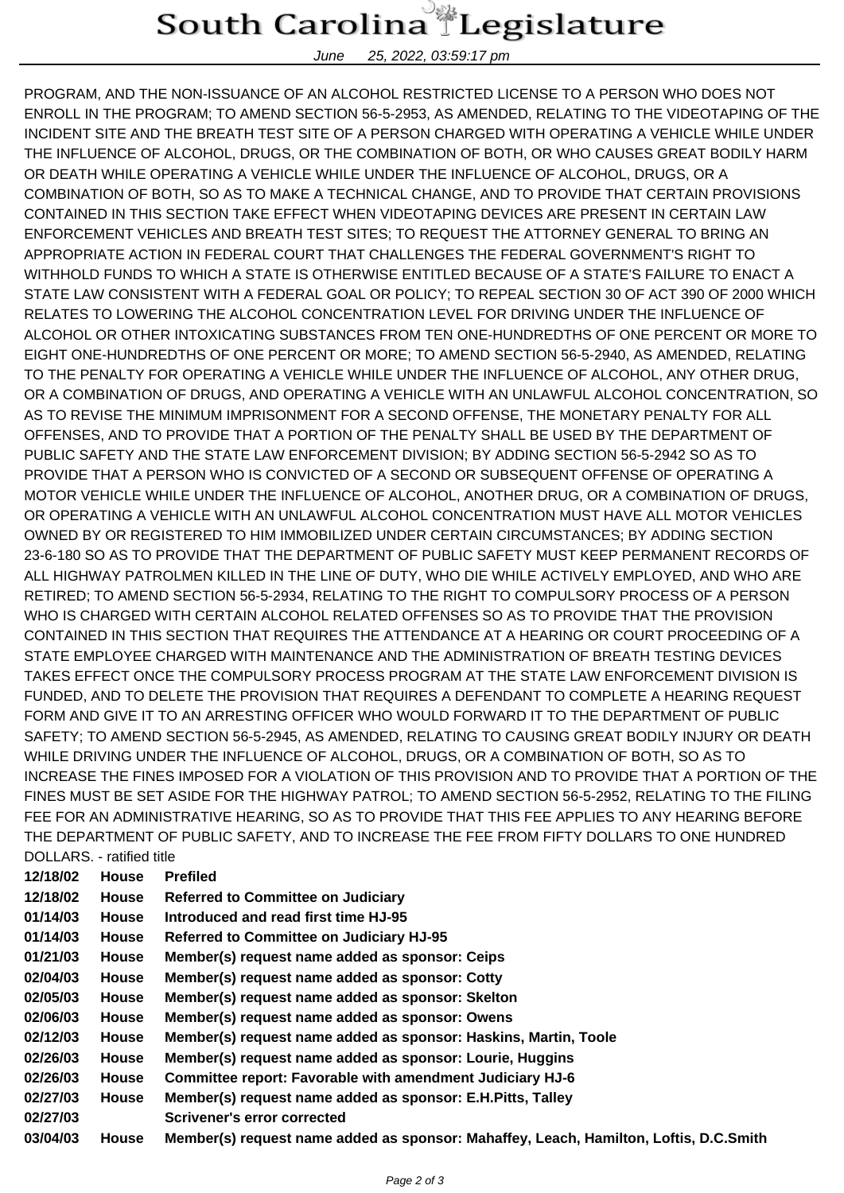## South Carolina Legislature

June 25, 2022, 03:59:17 pm

PROGRAM, AND THE NON-ISSUANCE OF AN ALCOHOL RESTRICTED LICENSE TO A PERSON WHO DOES NOT ENROLL IN THE PROGRAM; TO AMEND SECTION 56-5-2953, AS AMENDED, RELATING TO THE VIDEOTAPING OF THE INCIDENT SITE AND THE BREATH TEST SITE OF A PERSON CHARGED WITH OPERATING A VEHICLE WHILE UNDER THE INFLUENCE OF ALCOHOL, DRUGS, OR THE COMBINATION OF BOTH, OR WHO CAUSES GREAT BODILY HARM OR DEATH WHILE OPERATING A VEHICLE WHILE UNDER THE INFLUENCE OF ALCOHOL, DRUGS, OR A COMBINATION OF BOTH, SO AS TO MAKE A TECHNICAL CHANGE, AND TO PROVIDE THAT CERTAIN PROVISIONS CONTAINED IN THIS SECTION TAKE EFFECT WHEN VIDEOTAPING DEVICES ARE PRESENT IN CERTAIN LAW ENFORCEMENT VEHICLES AND BREATH TEST SITES; TO REQUEST THE ATTORNEY GENERAL TO BRING AN APPROPRIATE ACTION IN FEDERAL COURT THAT CHALLENGES THE FEDERAL GOVERNMENT'S RIGHT TO WITHHOLD FUNDS TO WHICH A STATE IS OTHERWISE ENTITLED BECAUSE OF A STATE'S FAILURE TO ENACT A STATE LAW CONSISTENT WITH A FEDERAL GOAL OR POLICY; TO REPEAL SECTION 30 OF ACT 390 OF 2000 WHICH RELATES TO LOWERING THE ALCOHOL CONCENTRATION LEVEL FOR DRIVING UNDER THE INFLUENCE OF ALCOHOL OR OTHER INTOXICATING SUBSTANCES FROM TEN ONE-HUNDREDTHS OF ONE PERCENT OR MORE TO EIGHT ONE-HUNDREDTHS OF ONE PERCENT OR MORE; TO AMEND SECTION 56-5-2940, AS AMENDED, RELATING TO THE PENALTY FOR OPERATING A VEHICLE WHILE UNDER THE INFLUENCE OF ALCOHOL, ANY OTHER DRUG, OR A COMBINATION OF DRUGS, AND OPERATING A VEHICLE WITH AN UNLAWFUL ALCOHOL CONCENTRATION, SO AS TO REVISE THE MINIMUM IMPRISONMENT FOR A SECOND OFFENSE, THE MONETARY PENALTY FOR ALL OFFENSES, AND TO PROVIDE THAT A PORTION OF THE PENALTY SHALL BE USED BY THE DEPARTMENT OF PUBLIC SAFETY AND THE STATE LAW ENFORCEMENT DIVISION; BY ADDING SECTION 56-5-2942 SO AS TO PROVIDE THAT A PERSON WHO IS CONVICTED OF A SECOND OR SUBSEQUENT OFFENSE OF OPERATING A MOTOR VEHICLE WHILE UNDER THE INFLUENCE OF ALCOHOL, ANOTHER DRUG, OR A COMBINATION OF DRUGS, OR OPERATING A VEHICLE WITH AN UNLAWFUL ALCOHOL CONCENTRATION MUST HAVE ALL MOTOR VEHICLES OWNED BY OR REGISTERED TO HIM IMMOBILIZED UNDER CERTAIN CIRCUMSTANCES; BY ADDING SECTION 23-6-180 SO AS TO PROVIDE THAT THE DEPARTMENT OF PUBLIC SAFETY MUST KEEP PERMANENT RECORDS OF ALL HIGHWAY PATROLMEN KILLED IN THE LINE OF DUTY, WHO DIE WHILE ACTIVELY EMPLOYED, AND WHO ARE RETIRED; TO AMEND SECTION 56-5-2934, RELATING TO THE RIGHT TO COMPULSORY PROCESS OF A PERSON WHO IS CHARGED WITH CERTAIN ALCOHOL RELATED OFFENSES SO AS TO PROVIDE THAT THE PROVISION CONTAINED IN THIS SECTION THAT REQUIRES THE ATTENDANCE AT A HEARING OR COURT PROCEEDING OF A STATE EMPLOYEE CHARGED WITH MAINTENANCE AND THE ADMINISTRATION OF BREATH TESTING DEVICES TAKES EFFECT ONCE THE COMPULSORY PROCESS PROGRAM AT THE STATE LAW ENFORCEMENT DIVISION IS FUNDED, AND TO DELETE THE PROVISION THAT REQUIRES A DEFENDANT TO COMPLETE A HEARING REQUEST FORM AND GIVE IT TO AN ARRESTING OFFICER WHO WOULD FORWARD IT TO THE DEPARTMENT OF PUBLIC SAFETY; TO AMEND SECTION 56-5-2945, AS AMENDED, RELATING TO CAUSING GREAT BODILY INJURY OR DEATH WHILE DRIVING UNDER THE INFLUENCE OF ALCOHOL, DRUGS, OR A COMBINATION OF BOTH, SO AS TO INCREASE THE FINES IMPOSED FOR A VIOLATION OF THIS PROVISION AND TO PROVIDE THAT A PORTION OF THE FINES MUST BE SET ASIDE FOR THE HIGHWAY PATROL; TO AMEND SECTION 56-5-2952, RELATING TO THE FILING FEE FOR AN ADMINISTRATIVE HEARING, SO AS TO PROVIDE THAT THIS FEE APPLIES TO ANY HEARING BEFORE THE DEPARTMENT OF PUBLIC SAFETY, AND TO INCREASE THE FEE FROM FIFTY DOLLARS TO ONE HUNDRED DOLLARS. - ratified title

| 12/18/02 | <b>House</b> | <b>Prefiled</b>                                                                       |
|----------|--------------|---------------------------------------------------------------------------------------|
| 12/18/02 | House        | <b>Referred to Committee on Judiciary</b>                                             |
| 01/14/03 | House        | Introduced and read first time HJ-95                                                  |
| 01/14/03 | <b>House</b> | <b>Referred to Committee on Judiciary HJ-95</b>                                       |
| 01/21/03 | House        | Member(s) request name added as sponsor: Ceips                                        |
| 02/04/03 | House        | Member(s) request name added as sponsor: Cotty                                        |
| 02/05/03 | House        | Member(s) request name added as sponsor: Skelton                                      |
| 02/06/03 | House        | Member(s) request name added as sponsor: Owens                                        |
| 02/12/03 | House        | Member(s) request name added as sponsor: Haskins, Martin, Toole                       |
| 02/26/03 | <b>House</b> | Member(s) request name added as sponsor: Lourie, Huggins                              |
| 02/26/03 | <b>House</b> | Committee report: Favorable with amendment Judiciary HJ-6                             |
| 02/27/03 | <b>House</b> | Member(s) request name added as sponsor: E.H.Pitts, Talley                            |
| 02/27/03 |              | <b>Scrivener's error corrected</b>                                                    |
| 03/04/03 | <b>House</b> | Member(s) request name added as sponsor: Mahaffey, Leach, Hamilton, Loftis, D.C.Smith |
|          |              |                                                                                       |